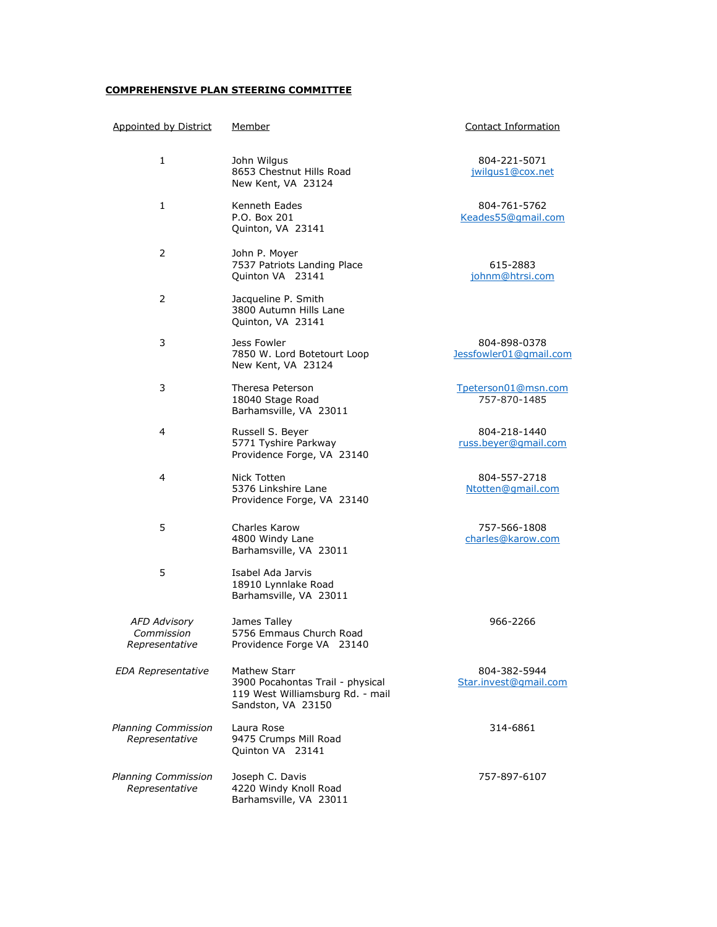## **COMPREHENSIVE PLAN STEERING COMMITTEE**

| <b>Appointed by District</b>                        | <u>Member</u>                                                                                                     | <b>Contact Information</b>             |
|-----------------------------------------------------|-------------------------------------------------------------------------------------------------------------------|----------------------------------------|
| 1                                                   | John Wilgus<br>8653 Chestnut Hills Road<br>New Kent, VA 23124                                                     | 804-221-5071<br>jwilgus1@cox.net       |
| 1                                                   | Kenneth Eades<br>P.O. Box 201<br>Quinton, VA 23141                                                                | 804-761-5762<br>Keades55@qmail.com     |
| 2                                                   | John P. Moyer<br>7537 Patriots Landing Place<br>Quinton VA 23141                                                  | 615-2883<br>johnm@htrsi.com            |
| $\overline{2}$                                      | Jacqueline P. Smith<br>3800 Autumn Hills Lane<br>Quinton, VA 23141                                                |                                        |
| 3                                                   | Jess Fowler<br>7850 W. Lord Botetourt Loop<br>New Kent, VA 23124                                                  | 804-898-0378<br>Jessfowler01@gmail.com |
| 3                                                   | Theresa Peterson<br>18040 Stage Road<br>Barhamsville, VA 23011                                                    | Tpeterson01@msn.com<br>757-870-1485    |
| 4                                                   | Russell S. Beyer<br>5771 Tyshire Parkway<br>Providence Forge, VA 23140                                            | 804-218-1440<br>russ.beyer@gmail.com   |
| 4                                                   | Nick Totten<br>5376 Linkshire Lane<br>Providence Forge, VA 23140                                                  | 804-557-2718<br>Ntotten@gmail.com      |
| 5                                                   | Charles Karow<br>4800 Windy Lane<br>Barhamsville, VA 23011                                                        | 757-566-1808<br>charles@karow.com      |
| 5                                                   | Isabel Ada Jarvis<br>18910 Lynnlake Road<br>Barhamsville, VA 23011                                                |                                        |
| <b>AFD Advisory</b><br>Commission<br>Representative | James Talley<br>5756 Emmaus Church Road<br>Providence Forge VA 23140                                              | 966-2266                               |
| <b>EDA Representative</b>                           | <b>Mathew Starr</b><br>3900 Pocahontas Trail - physical<br>119 West Williamsburg Rd. - mail<br>Sandston, VA 23150 | 804-382-5944<br>Star.invest@gmail.com  |
| Planning Commission<br>Representative               | Laura Rose<br>9475 Crumps Mill Road<br>Quinton VA 23141                                                           | 314-6861                               |
| Planning Commission<br>Representative               | Joseph C. Davis<br>4220 Windy Knoll Road<br>Barhamsville, VA 23011                                                | 757-897-6107                           |